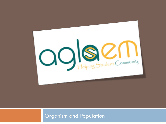

#### Organism and Population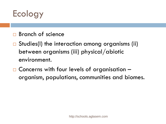

- □ Branch of science
- $\Box$  Studies(I) the interaction among organisms (ii) between organisms (iii) physical/abiotic environment.
- □ Concerns with four levels of organisation organism, populations, communities and biomes.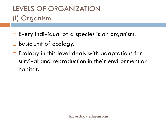#### LEVELS OF ORGANIZATION (I) Organism

- $\Box$  Every individual of a species is an organism.
- □ Basic unit of ecology.
- $\Box$  Ecology in this level deals with adaptations for survival and reproduction in their environment or habitat.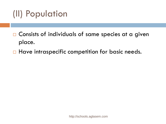# (II) Population

- $\Box$  Consists of individuals of same species at a given place.
- $\Box$  Have intraspecific competition for basic needs.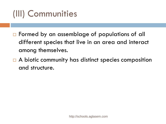# (III) Communities

- □ Formed by an assemblage of populations of all different species that live in an area and interact among themselves.
- $\Box$  A biotic community has distinct species composition and structure.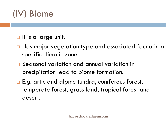# (IV) Biome

- $\Box$  It is a large unit.
- □ Has major vegetation type and associated fauna in a specific climatic zone.
- Seasonal variation and annual variation in precipitation lead to biome formation.
- □ E.g. artic and alpine tundra, coniferous forest, temperate forest, grass land, tropical forest and desert.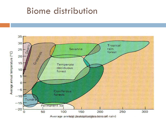#### Biome distribution

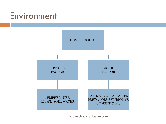#### Environment

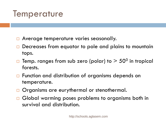### **Temperature**

- **Average temperature varies seasonally.**
- □ Decreases from equator to pole and plains to mountain tops.
- $\Box$  Temp. ranges from sub zero (polar) to  $>50^0$  in tropical forests.
- □ Function and distribution of organisms depends on temperature.
- Organisms are eurythermal or stenothermal.
- □ Global warming poses problems to organisms both in survival and distribution.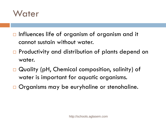

- $\Box$  Influences life of organism of organism and it cannot sustain without water.
- $\Box$  Productivity and distribution of plants depend on water.
- □ Quality (pH, Chemical composition, salinity) of water is important for aquatic organisms.
- □ Organisms may be euryhaline or stenohaline.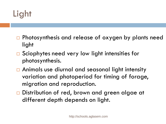# Light

- □ Photosynthesis and release of oxygen by plants need light
- $\Box$  Sciophytes need very low light intensities for photosynthesis.
- □ Animals use diurnal and seasonal light intensity variation and photoperiod for timing of forage, migration and reproduction.
- □ Distribution of red, brown and green algae at different depth depends on light.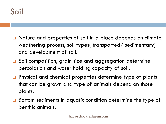- $\Box$  Nature and properties of soil in a place depends on climate, weathering process, soil types( transported/ sedimentary) and development of soil.
- □ Soil composition, grain size and aggregation determine percolation and water holding capacity of soil.
- □ Physical and chemical properties determine type of plants that can be grown and type of animals depend on those plants.
- □ Bottom sediments in aquatic condition determine the type of benthic animals.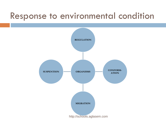### Response to environmental condition

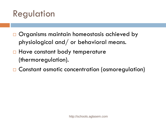# Regulation

- $\Box$  Organisms maintain homeostasis achieved by physiological and/ or behavioral means.
- **Have constant body temperature** (thermoregulation).
- □ Constant osmotic concentration (osmoregulation)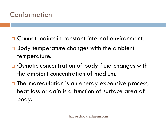#### Conformation

- □ Cannot maintain constant internal environment.
- □ Body temperature changes with the ambient temperature.
- □ Osmotic concentration of body fluid changes with the ambient concentration of medium.
- $\Box$  Thermoregulation is an energy expensive process, heat loss or gain is a function of surface area of body.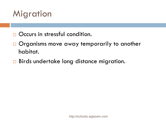## **Migration**

- Occurs in stressful condition.
- □ Organisms move away temporarily to another habitat.
- Birds undertake long distance migration.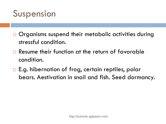

- □ Organisms suspend their metabolic activities during stressful condition.
- □ Resume their function at the return of favorable condition.
- $\Box$  E.g. hibernation of frog, certain reptiles, polar bears. Aestivation in snail and fish. Seed dormancy.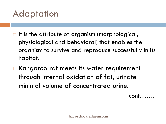### Adaptation

- $\Box$  It is the attribute of organism (morphological, physiological and behavioral) that enables the organism to survive and reproduce successfully in its habitat.
- □ Kangaroo rat meets its water requirement through internal oxidation of fat, urinate minimal volume of concentrated urine.
- cont…….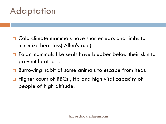### Adaptation

- Cold climate mammals have shorter ears and limbs to minimize heat loss( Allen's rule).
- □ Polar mammals like seals have blubber below their skin to prevent heat loss.
- □ Burrowing habit of some animals to escape from heat.
- Higher count of RBCs , Hb and high vital capacity of people of high altitude.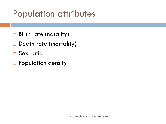## Population attributes

- Birth rate (natality)
- Death rate (mortality)
- □ Sex ratio
- □ Population density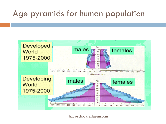#### Age pyramids for human population

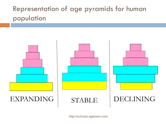#### Representation of age pyramids for human population

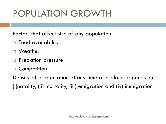# POPULATION GROWTH

Factors that affect size of any population

- □ Food availability
- **Weather**
- **Predation pressure**
- □ Competition

Density of a population at any time at a place depends on (i)natality, (ii) mortality, (iii) emigration and (iv) immigration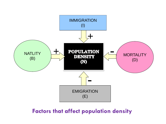

**Factors that affect population density**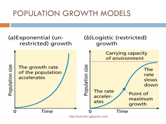#### POPULATION GROWTH MODELS

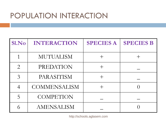#### POPULATION INTERACTION

| Sl.No          | <b>INTERACTION</b>  | <b>SPECIES A</b> | <b>SPECIES B</b> |
|----------------|---------------------|------------------|------------------|
|                | <b>MUTUALISM</b>    |                  |                  |
| $\overline{2}$ | PREDATION           |                  |                  |
| $\mathcal{E}$  | PARASITISM          |                  |                  |
|                | <b>COMMENSALISM</b> |                  |                  |
| 5              | <b>COMPETION</b>    |                  |                  |
|                | AMENSALISM          |                  |                  |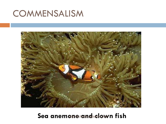### **COMMENSALISM**



#### Sea anemone rand chown fish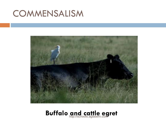### COMMENSALISM



#### **Buffalo and cattle egret** http://schools.aglasem.com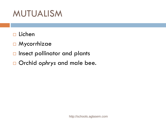# MUTUALISM

- $\Box$  Lichen
- Mycorrhizae
- $\Box$  Insect pollinator and plants
- □ Orchid ophrys and male bee.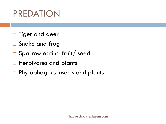# PREDATION

- □ Tiger and deer
- □ Snake and frog
- □ Sparrow eating fruit/ seed
- $\Box$  Herbivores and plants
- □ Phytophagous insects and plants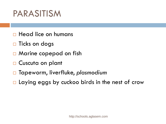# PARASITISM

- $\Box$  Head lice on humans
- $\Box$  Ticks on dogs
- □ Marine copepod on fish
- □ Cuscuta on plant
- Tapeworm, liverfluke, *plasmodium*
- $\Box$  Laying eggs by cuckoo birds in the nest of crow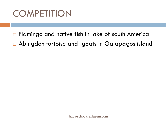# **COMPETITION**

□ Flamingo and native fish in lake of south America Abingdon tortoise and goats in Galapagos island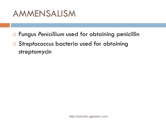

- Fungus *Penicillium* used for obtaining penicillin
- *Streptococcus* bacteria used for obtaining streptomycin